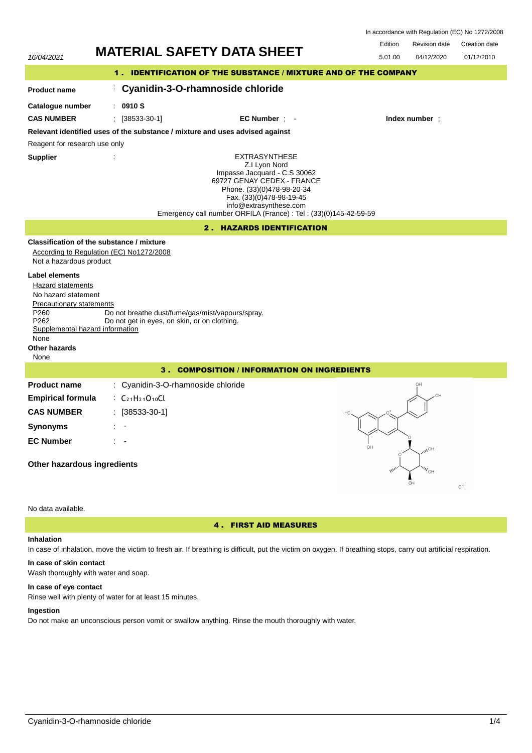| In accordance with Regulation (EC) No 1272/2008 |  |  |
|-------------------------------------------------|--|--|
|-------------------------------------------------|--|--|

| 16/04/2021<br>5.01.00<br>04/12/2020<br>1. IDENTIFICATION OF THE SUBSTANCE / MIXTURE AND OF THE COMPANY<br>Cyanidin-3-O-rhamnoside chloride<br><b>Product name</b>                                                                                                                                                                                                                                                            | 01/12/2010 |  |  |  |
|------------------------------------------------------------------------------------------------------------------------------------------------------------------------------------------------------------------------------------------------------------------------------------------------------------------------------------------------------------------------------------------------------------------------------|------------|--|--|--|
|                                                                                                                                                                                                                                                                                                                                                                                                                              |            |  |  |  |
|                                                                                                                                                                                                                                                                                                                                                                                                                              |            |  |  |  |
|                                                                                                                                                                                                                                                                                                                                                                                                                              |            |  |  |  |
| 0910 S<br>Catalogue number                                                                                                                                                                                                                                                                                                                                                                                                   |            |  |  |  |
| <b>CAS NUMBER</b><br>$\frac{1}{2}$ [38533-30-1]<br>EC Number : -<br>Index number:                                                                                                                                                                                                                                                                                                                                            |            |  |  |  |
| Relevant identified uses of the substance / mixture and uses advised against                                                                                                                                                                                                                                                                                                                                                 |            |  |  |  |
| Reagent for research use only                                                                                                                                                                                                                                                                                                                                                                                                |            |  |  |  |
| <b>EXTRASYNTHESE</b><br><b>Supplier</b><br>Z.I Lyon Nord<br>Impasse Jacquard - C.S 30062<br>69727 GENAY CEDEX - FRANCE<br>Phone. (33)(0)478-98-20-34<br>Fax. (33)(0)478-98-19-45<br>info@extrasynthese.com<br>Emergency call number ORFILA (France) : Tel : (33)(0)145-42-59-59                                                                                                                                              |            |  |  |  |
| 2. HAZARDS IDENTIFICATION                                                                                                                                                                                                                                                                                                                                                                                                    |            |  |  |  |
| Classification of the substance / mixture<br>According to Regulation (EC) No1272/2008<br>Not a hazardous product<br><b>Label elements</b><br><b>Hazard statements</b><br>No hazard statement<br>Precautionary statements<br>P <sub>260</sub><br>Do not breathe dust/fume/gas/mist/vapours/spray.<br>P262<br>Do not get in eyes, on skin, or on clothing.<br>Supplemental hazard information<br>None<br>Other hazards<br>None |            |  |  |  |
| 3. COMPOSITION / INFORMATION ON INGREDIENTS                                                                                                                                                                                                                                                                                                                                                                                  |            |  |  |  |
| : Cyanidin-3-O-rhamnoside chloride<br><b>Product name</b><br><b>Empirical formula</b><br>$\therefore$ C <sub>21</sub> H <sub>21</sub> O <sub>10</sub> Cl<br><b>CAS NUMBER</b><br>: [38533-30-1]<br><b>Synonyms</b><br><b>EC Number</b><br>$H\odot$ $\mathcal{U}_{\mathcal{U}_2}$<br>Other hazardous ingredients<br>$^{\prime\prime\prime}{}_{\rm OH}$<br>OH                                                                  |            |  |  |  |

No data available.

# 4 . FIRST AID MEASURES

## **Inhalation**

In case of inhalation, move the victim to fresh air. If breathing is difficult, put the victim on oxygen. If breathing stops, carry out artificial respiration.

# **In case of skin contact**

Wash thoroughly with water and soap.

## **In case of eye contact**

Rinse well with plenty of water for at least 15 minutes.

# **Ingestion**

Do not make an unconscious person vomit or swallow anything. Rinse the mouth thoroughly with water.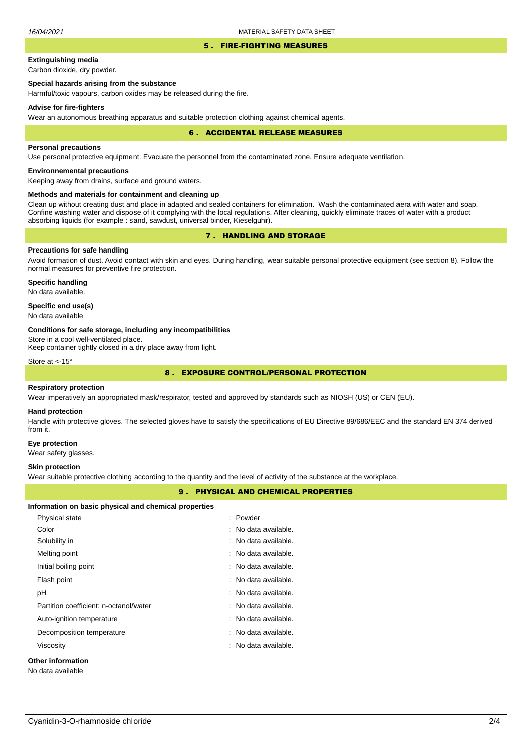#### 5 . FIRE-FIGHTING MEASURES

# **Extinguishing media**

Carbon dioxide, dry powder.

## **Special hazards arising from the substance**

Harmful/toxic vapours, carbon oxides may be released during the fire.

#### **Advise for fire-fighters**

Wear an autonomous breathing apparatus and suitable protection clothing against chemical agents.

#### 6 . ACCIDENTAL RELEASE MEASURES

### **Personal precautions**

Use personal protective equipment. Evacuate the personnel from the contaminated zone. Ensure adequate ventilation.

## **Environnemental precautions**

Keeping away from drains, surface and ground waters.

### **Methods and materials for containment and cleaning up**

Clean up without creating dust and place in adapted and sealed containers for elimination. Wash the contaminated aera with water and soap. Confine washing water and dispose of it complying with the local regulations. After cleaning, quickly eliminate traces of water with a product absorbing liquids (for example : sand, sawdust, universal binder, Kieselguhr).

## 7 . HANDLING AND STORAGE

## **Precautions for safe handling**

Avoid formation of dust. Avoid contact with skin and eyes. During handling, wear suitable personal protective equipment (see section 8). Follow the normal measures for preventive fire protection.

**Specific handling** No data available.

### **Specific end use(s)**

No data available

#### **Conditions for safe storage, including any incompatibilities**

Store in a cool well-ventilated place.

Keep container tightly closed in a dry place away from light.

Store at <-15°

## 8 . EXPOSURE CONTROL/PERSONAL PROTECTION

### **Respiratory protection**

Wear imperatively an appropriated mask/respirator, tested and approved by standards such as NIOSH (US) or CEN (EU).

#### **Hand protection**

Handle with protective gloves. The selected gloves have to satisfy the specifications of EU Directive 89/686/EEC and the standard EN 374 derived from it.

#### **Eye protection**

Wear safety glasses.

#### **Skin protection**

Wear suitable protective clothing according to the quantity and the level of activity of the substance at the workplace.

## 9 . PHYSICAL AND CHEMICAL PROPERTIES

#### **Information on basic physical and chemical properties**

| Physical state                         | : Powder             |
|----------------------------------------|----------------------|
| Color                                  | : No data available. |
| Solubility in                          | : No data available. |
| Melting point                          | : No data available. |
| Initial boiling point                  | : No data available. |
| Flash point                            | : No data available. |
| рH                                     | : No data available. |
| Partition coefficient: n-octanol/water | : No data available. |
| Auto-ignition temperature              | : No data available. |
| Decomposition temperature              | : No data available. |
| Viscosity                              | : No data available. |
| Other information                      |                      |

No data available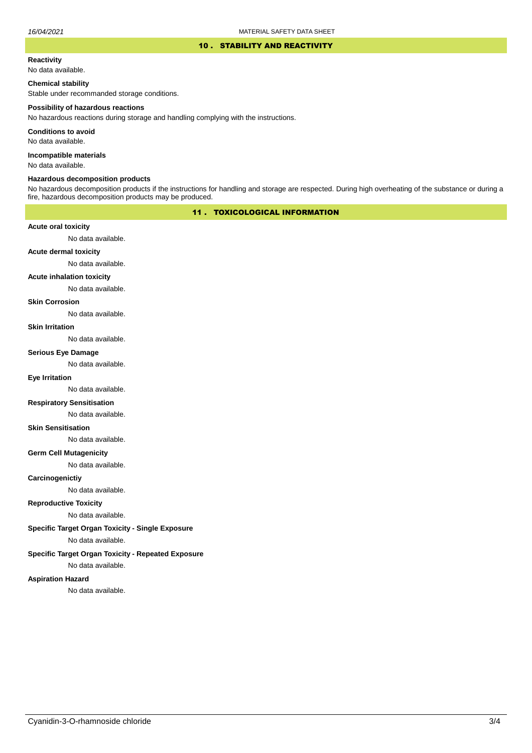### 10 . STABILITY AND REACTIVITY

## **Reactivity**

No data available.

### **Chemical stability**

Stable under recommanded storage conditions.

#### **Possibility of hazardous reactions**

No hazardous reactions during storage and handling complying with the instructions.

**Conditions to avoid**

No data available.

**Incompatible materials**

No data available.

#### **Hazardous decomposition products**

No hazardous decomposition products if the instructions for handling and storage are respected. During high overheating of the substance or during a fire, hazardous decomposition products may be produced.

## 11 . TOXICOLOGICAL INFORMATION

### **Acute oral toxicity**

No data available.

## **Acute dermal toxicity**

No data available.

### **Acute inhalation toxicity**

No data available.

### **Skin Corrosion**

No data available.

#### **Skin Irritation**

No data available.

#### **Serious Eye Damage**

No data available.

## **Eye Irritation**

No data available.

### **Respiratory Sensitisation**

No data available.

### **Skin Sensitisation**

No data available.

### **Germ Cell Mutagenicity**

No data available.

### **Carcinogenictiy**

No data available.

## **Reproductive Toxicity**

No data available.

# **Specific Target Organ Toxicity - Single Exposure**

No data available.

### **Specific Target Organ Toxicity - Repeated Exposure**

No data available.

### **Aspiration Hazard**

No data available.